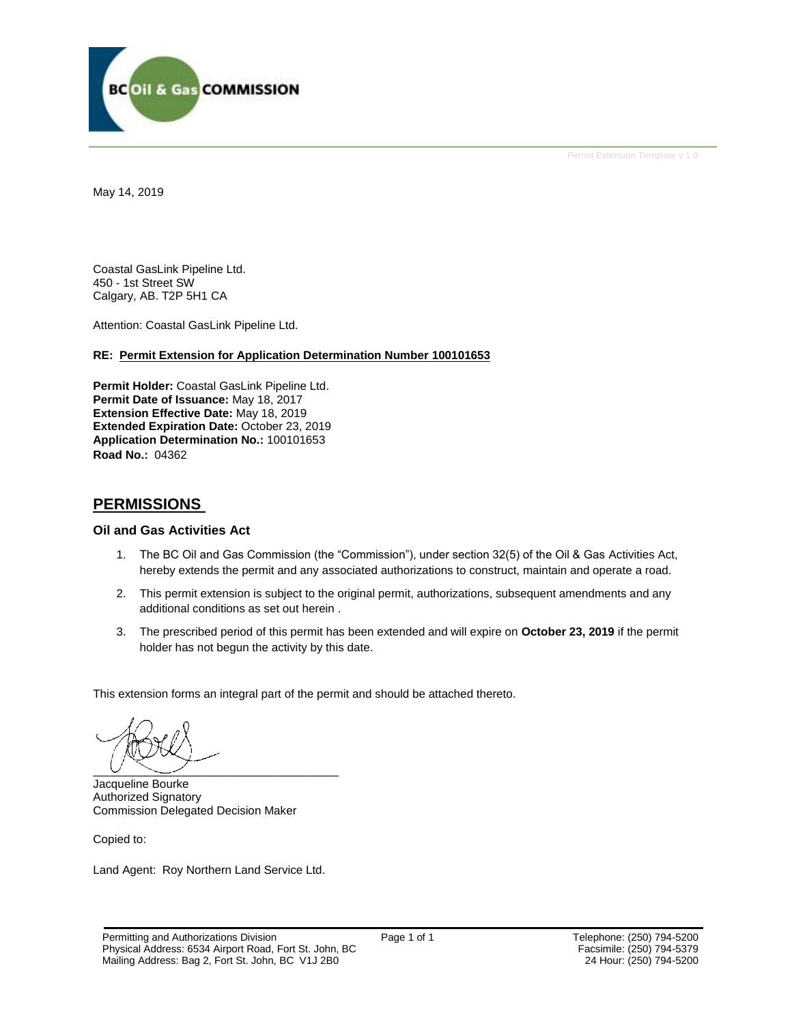

Permit Extension Template v 1.0

May 14, 2019

Coastal GasLink Pipeline Ltd. 450 - 1st Street SW Calgary, AB. T2P 5H1 CA

Attention: Coastal GasLink Pipeline Ltd.

### **RE: Permit Extension for Application Determination Number 100101653**

**Permit Holder:** Coastal GasLink Pipeline Ltd. **Permit Date of Issuance:** May 18, 2017 **Extension Effective Date:** May 18, 2019 **Extended Expiration Date:** October 23, 2019 **Application Determination No.:** 100101653 **Road No.:** 04362

## **PERMISSIONS**

### **Oil and Gas Activities Act**

- 1. The BC Oil and Gas Commission (the "Commission"), under section 32(5) of the Oil & Gas Activities Act, hereby extends the permit and any associated authorizations to construct, maintain and operate a road.
- 2. This permit extension is subject to the original permit, authorizations, subsequent amendments and any additional conditions as set out herein .
- 3. The prescribed period of this permit has been extended and will expire on **October 23, 2019** if the permit holder has not begun the activity by this date.

This extension forms an integral part of the permit and should be attached thereto.

 $\overline{\phantom{a}}$   $\overline{\phantom{a}}$   $\overline{\phantom{a}}$   $\overline{\phantom{a}}$   $\overline{\phantom{a}}$   $\overline{\phantom{a}}$   $\overline{\phantom{a}}$   $\overline{\phantom{a}}$   $\overline{\phantom{a}}$   $\overline{\phantom{a}}$   $\overline{\phantom{a}}$   $\overline{\phantom{a}}$   $\overline{\phantom{a}}$   $\overline{\phantom{a}}$   $\overline{\phantom{a}}$   $\overline{\phantom{a}}$   $\overline{\phantom{a}}$   $\overline{\phantom{a}}$   $\overline{\$ 

Jacqueline Bourke Authorized Signatory Commission Delegated Decision Maker

Copied to:

Land Agent: Roy Northern Land Service Ltd.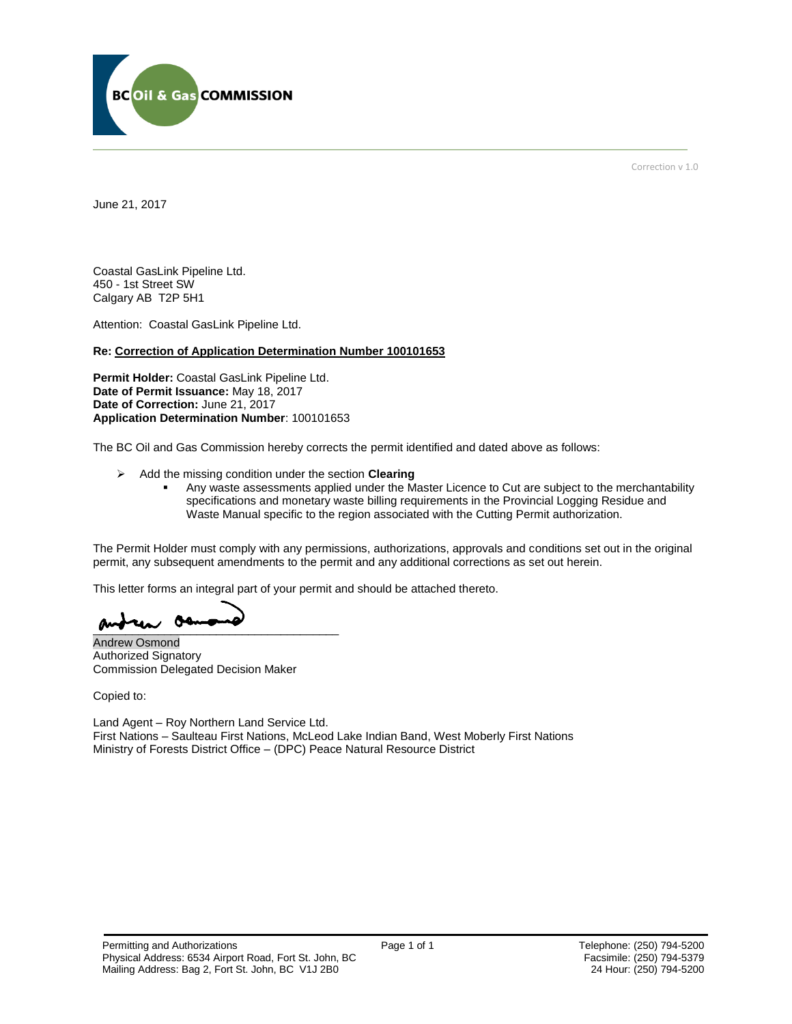

Correction v 1.0

June 21, 2017

Coastal GasLink Pipeline Ltd. 450 - 1st Street SW Calgary AB T2P 5H1

Attention: Coastal GasLink Pipeline Ltd.

### **Re: Correction of Application Determination Number 100101653**

**Permit Holder:** Coastal GasLink Pipeline Ltd. **Date of Permit Issuance:** May 18, 2017 **Date of Correction:** June 21, 2017 **Application Determination Number**: 100101653

The BC Oil and Gas Commission hereby corrects the permit identified and dated above as follows:

- Add the missing condition under the section **Clearing**
	- Any waste assessments applied under the Master Licence to Cut are subject to the merchantability specifications and monetary waste billing requirements in the Provincial Logging Residue and Waste Manual specific to the region associated with the Cutting Permit authorization.

The Permit Holder must comply with any permissions, authorizations, approvals and conditions set out in the original permit, any subsequent amendments to the permit and any additional corrections as set out herein.

This letter forms an integral part of your permit and should be attached thereto.

andrea on

Andrew Osmond Authorized Signatory Commission Delegated Decision Maker

Copied to:

Land Agent – Roy Northern Land Service Ltd. First Nations – Saulteau First Nations, McLeod Lake Indian Band, West Moberly First Nations Ministry of Forests District Office – (DPC) Peace Natural Resource District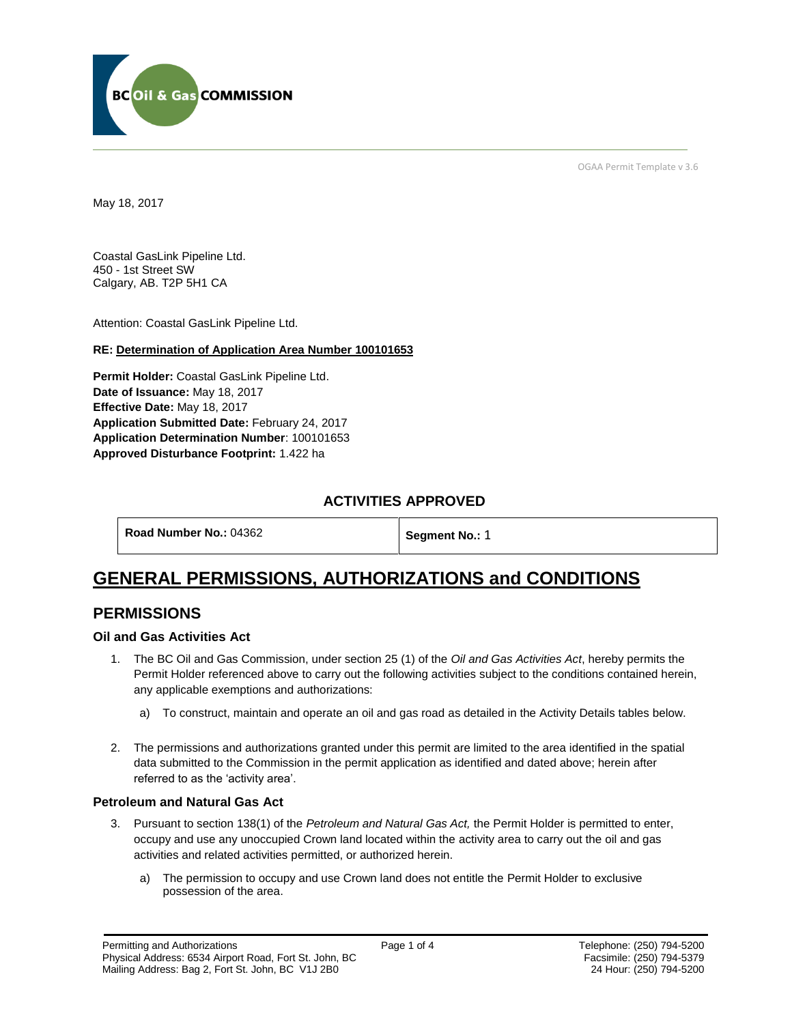

OGAA Permit Template v 3.6

May 18, 2017

Coastal GasLink Pipeline Ltd. 450 - 1st Street SW Calgary, AB. T2P 5H1 CA

[Attention:](file://///bcogc/shares/P&A%20Review%20&%20Determination/AMS%20PERMITS/AD100101663/100101663%20DRAFT%20PERMIT.docx%23permit_hoverhint) Coastal GasLink Pipeline Ltd.

### **RE: Determination of Application Area Number 100101653**

**[Permit Holder:](#page-2-0)** Coastal GasLink Pipeline Ltd. **[Date of Issuance:](#page-2-0)** May 18, 2017 **[Effective Date:](#page-2-1)** May 18, 2017 **[Application Submitted Date:](#page-2-0)** February 24, 2017 **[Application Determination Number](#page-2-0)**: 100101653 **Approved Disturbance Footprint:** 1.422 ha

## **ACTIVITIES APPROVED**

<span id="page-2-1"></span>**[Segment No.:](https://bi.bcogc.ca/Application%20Processing/Interactive%20Reports/(BIL-041)%20AMS%20Decision%20Summary.aspx) 1** 

# **GENERAL PERMISSIONS, AUTHORIZATIONS and CONDITIONS**

## **PERMISSIONS**

### **Oil and Gas Activities Act**

- <span id="page-2-0"></span>1. The BC Oil and Gas Commission, under section 25 (1) of the *Oil and Gas Activities Act*, hereby permits the Permit Holder referenced above to carry out the following activities subject to the conditions contained herein, any applicable exemptions and authorizations:
	- a) To construct, maintain and operate an oil and gas road as detailed in the Activity Details tables below.
- 2. The permissions and authorizations granted under this permit are limited to the area identified in the spatial data submitted to the Commission in the permit application as identified and dated above; herein after referred to as the 'activity area'.

### **Petroleum and Natural Gas Act**

- 3. Pursuant to section 138(1) of the *Petroleum and Natural Gas Act,* the Permit Holder is permitted to enter, occupy and use any unoccupied Crown land located within the activity area to carry out the oil and gas activities and related activities permitted, or authorized herein.
	- a) The permission to occupy and use Crown land does not entitle the Permit Holder to exclusive possession of the area.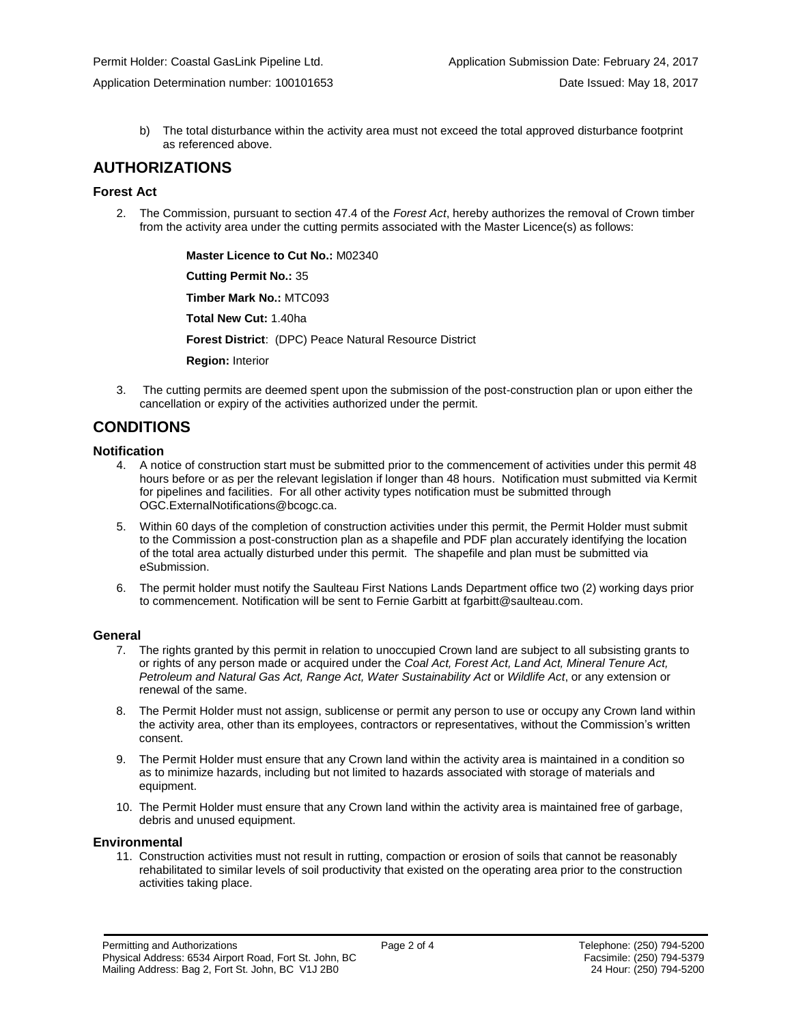- Application Determination number: 100101653 Date Issued: May 18, 2017
	- b) The total disturbance within the activity area must not exceed the total approved disturbance footprint as referenced above.

### **AUTHORIZATIONS**

### **Forest Act**

2. The Commission, pursuant to section 47.4 of the *Forest Act*, hereby authorizes the removal of Crown timber from the activity area under the cutting permits associated with the Master Licence(s) as follows:

> **[Master Licence to Cut No.:](#page-2-0)** M02340 **[Cutting Permit No.:](#page-2-0)** 35 **[Timber Mark No.:](#page-2-0)** MTC093

**[Total New Cut:](#page-2-0)** 1.40ha

**[Forest District](https://ams-crd.bcogc.ca/crd/)**: (DPC) Peace Natural Resource District

**[Region:](#page-2-1)** Interior

3. The cutting permits are deemed spent upon the submission of the post-construction plan or upon either the cancellation or expiry of the activities authorized under the permit.

# **CONDITIONS**

### **Notification**

- 4. A notice of construction start must be submitted prior to the commencement of activities under this permit 48 hours before or as per the relevant legislation if longer than 48 hours. Notification must submitted via Kermit for pipelines and facilities. For all other activity types notification must be submitted through [OGC.ExternalNotifications@bcogc.ca.](mailto:OGC.ExternalNotifications@bcogc.ca)
- 5. Within 60 days of the completion of construction activities under this permit, the Permit Holder must submit to the Commission a post-construction plan as a shapefile and PDF plan accurately identifying the location of the total area actually disturbed under this permit. The shapefile and plan must be submitted via eSubmission.
- 6. The permit holder must notify the Saulteau First Nations Lands Department office two (2) working days prior to commencement. Notification will be sent to Fernie Garbitt at fgarbitt@saulteau.com.

### **General**

- 7. The rights granted by this permit in relation to unoccupied Crown land are subject to all subsisting grants to or rights of any person made or acquired under the *Coal Act, Forest Act, Land Act, Mineral Tenure Act, Petroleum and Natural Gas Act, Range Act, Water Sustainability Act* or *Wildlife Act*, or any extension or renewal of the same.
- 8. The Permit Holder must not assign, sublicense or permit any person to use or occupy any Crown land within the activity area, other than its employees, contractors or representatives, without the Commission's written consent.
- 9. The Permit Holder must ensure that any Crown land within the activity area is maintained in a condition so as to minimize hazards, including but not limited to hazards associated with storage of materials and equipment.
- 10. The Permit Holder must ensure that any Crown land within the activity area is maintained free of garbage, debris and unused equipment.

### **Environmental**

11. Construction activities must not result in rutting, compaction or erosion of soils that cannot be reasonably rehabilitated to similar levels of soil productivity that existed on the operating area prior to the construction activities taking place.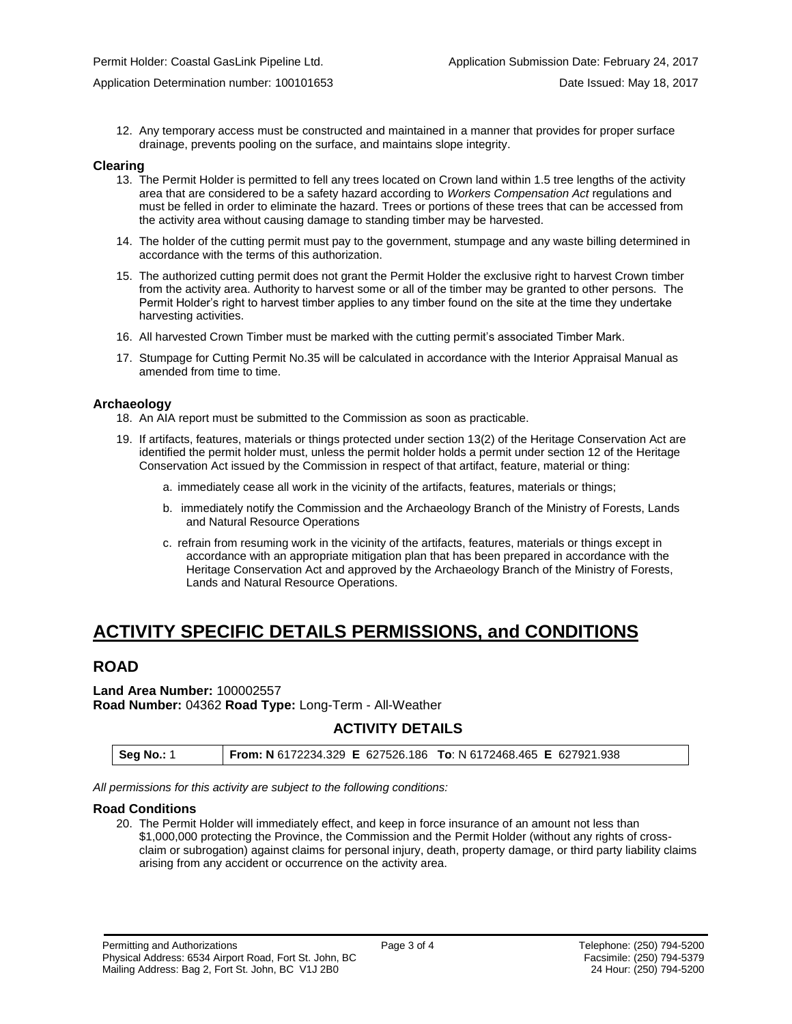12. Any temporary access must be constructed and maintained in a manner that provides for proper surface drainage, prevents pooling on the surface, and maintains slope integrity.

#### **Clearing**

- 13. The Permit Holder is permitted to fell any trees located on Crown land within 1.5 tree lengths of the activity area that are considered to be a safety hazard according to *Workers Compensation Act* regulations and must be felled in order to eliminate the hazard. Trees or portions of these trees that can be accessed from the activity area without causing damage to standing timber may be harvested.
- 14. The holder of the cutting permit must pay to the government, stumpage and any waste billing determined in accordance with the terms of this authorization.
- 15. The authorized cutting permit does not grant the Permit Holder the exclusive right to harvest Crown timber from the activity area. Authority to harvest some or all of the timber may be granted to other persons. The Permit Holder's right to harvest timber applies to any timber found on the site at the time they undertake harvesting activities.
- 16. All harvested Crown Timber must be marked with the cutting permit's associated Timber Mark.
- 17. Stumpage for Cutting Permit No.35 will be calculated in accordance with the Interior Appraisal Manual as amended from time to time.

### **Archaeology**

- 18. An AIA report must be submitted to the Commission as soon as practicable.
- 19. If artifacts, features, materials or things protected under section 13(2) of the Heritage Conservation Act are identified the permit holder must, unless the permit holder holds a permit under section 12 of the Heritage Conservation Act issued by the Commission in respect of that artifact, feature, material or thing:
	- a. immediately cease all work in the vicinity of the artifacts, features, materials or things;
	- b. immediately notify the Commission and the Archaeology Branch of the Ministry of Forests, Lands and Natural Resource Operations
	- c. refrain from resuming work in the vicinity of the artifacts, features, materials or things except in accordance with an appropriate mitigation plan that has been prepared in accordance with the Heritage Conservation Act and approved by the Archaeology Branch of the Ministry of Forests, Lands and Natural Resource Operations.

# **ACTIVITY SPECIFIC DETAILS PERMISSIONS, and CONDITIONS**

## **ROAD**

**Land Area Number:** 100002557 **Road Number:** 04362 **Road Type:** Long-Term - All-Weather

## **ACTIVITY DETAILS**

*All permissions for this activity are subject to the following conditions:*

#### **Road Conditions**

20. The Permit Holder will immediately effect, and keep in force insurance of an amount not less than \$1,000,000 protecting the Province, the Commission and the Permit Holder (without any rights of crossclaim or subrogation) against claims for personal injury, death, property damage, or third party liability claims arising from any accident or occurrence on the activity area.